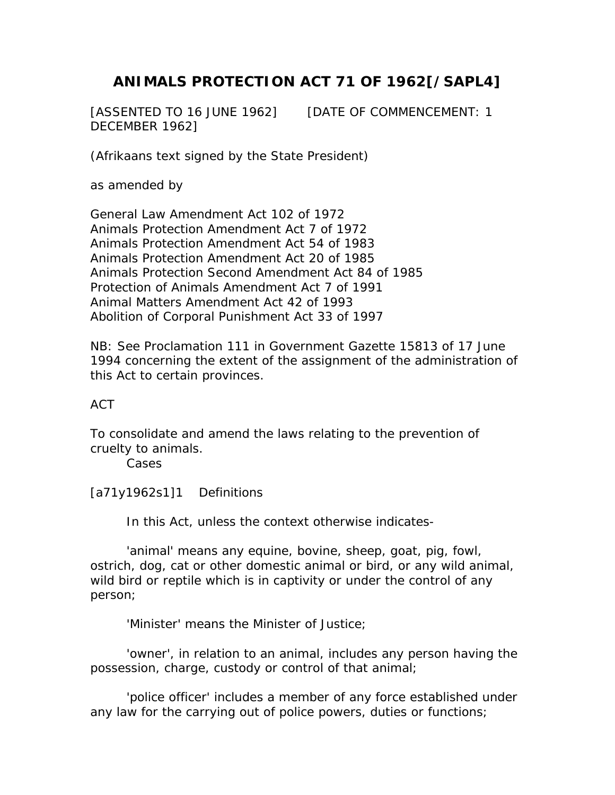## **ANIMALS PROTECTION ACT 71 OF 1962[/SAPL4]**

[ASSENTED TO 16 JUNE 1962] [DATE OF COMMENCEMENT: 1 DECEMBER 1962]

(Afrikaans text signed by the State President)

as amended by

General Law Amendment Act 102 of 1972 Animals Protection Amendment Act 7 of 1972 Animals Protection Amendment Act 54 of 1983 Animals Protection Amendment Act 20 of 1985 Animals Protection Second Amendment Act 84 of 1985 Protection of Animals Amendment Act 7 of 1991 Animal Matters Amendment Act 42 of 1993 Abolition of Corporal Punishment Act 33 of 1997

NB: See Proclamation 111 in Government Gazette 15813 of 17 June 1994 concerning the extent of the assignment of the administration of this Act to certain provinces.

## ACT

To consolidate and amend the laws relating to the prevention of cruelty to animals.

Cases

[a71y1962s1]1 Definitions

In this Act, unless the context otherwise indicates-

 'animal' means any equine, bovine, sheep, goat, pig, fowl, ostrich, dog, cat or other domestic animal or bird, or any wild animal, wild bird or reptile which is in captivity or under the control of any person;

'Minister' means the Minister of Justice;

 'owner', in relation to an animal, includes any person having the possession, charge, custody or control of that animal;

 'police officer' includes a member of any force established under any law for the carrying out of police powers, duties or functions;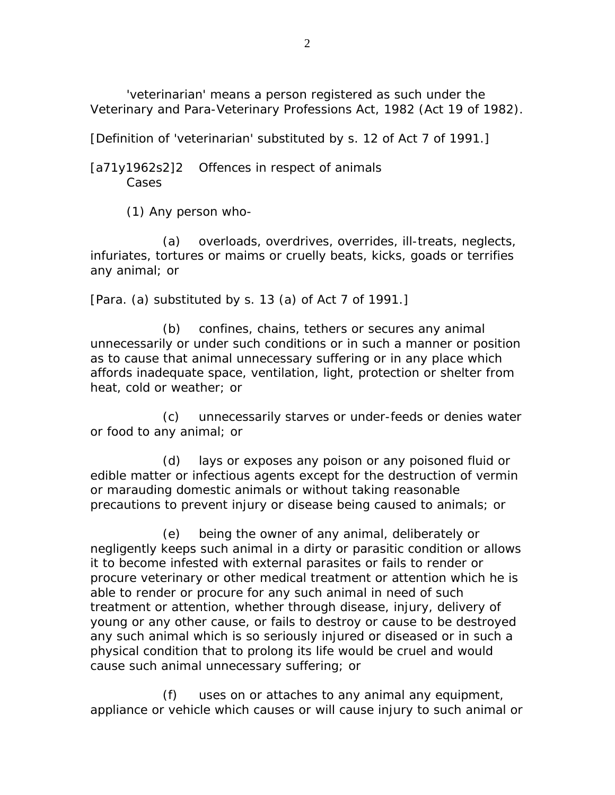'veterinarian' means a person registered as such under the Veterinary and Para-Veterinary Professions Act, 1982 (Act 19 of 1982).

[Definition of 'veterinarian' substituted by s. 12 of Act 7 of 1991.]

[a71y1962s2]2 Offences in respect of animals Cases

(1) Any person who-

 (a) overloads, overdrives, overrides, ill-treats, neglects, infuriates, tortures or maims or cruelly beats, kicks, goads or terrifies any animal; or

[Para. (a) substituted by s. 13 (a) of Act 7 of 1991.]

 (b) confines, chains, tethers or secures any animal unnecessarily or under such conditions or in such a manner or position as to cause that animal unnecessary suffering or in any place which affords inadequate space, ventilation, light, protection or shelter from heat, cold or weather; or

 (c) unnecessarily starves or under-feeds or denies water or food to any animal; or

 (d) lays or exposes any poison or any poisoned fluid or edible matter or infectious agents except for the destruction of vermin or marauding domestic animals or without taking reasonable precautions to prevent injury or disease being caused to animals; or

 (e) being the owner of any animal, deliberately or negligently keeps such animal in a dirty or parasitic condition or allows it to become infested with external parasites or fails to render or procure veterinary or other medical treatment or attention which he is able to render or procure for any such animal in need of such treatment or attention, whether through disease, injury, delivery of young or any other cause, or fails to destroy or cause to be destroyed any such animal which is so seriously injured or diseased or in such a physical condition that to prolong its life would be cruel and would cause such animal unnecessary suffering; or

 (f) uses on or attaches to any animal any equipment, appliance or vehicle which causes or will cause injury to such animal or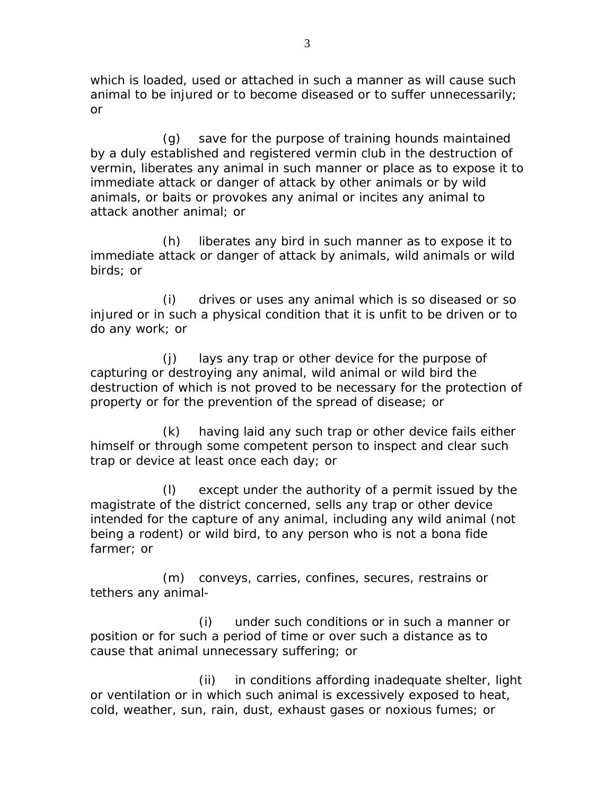which is loaded, used or attached in such a manner as will cause such animal to be injured or to become diseased or to suffer unnecessarily; or

 (g) save for the purpose of training hounds maintained by a duly established and registered vermin club in the destruction of vermin, liberates any animal in such manner or place as to expose it to immediate attack or danger of attack by other animals or by wild animals, or baits or provokes any animal or incites any animal to attack another animal; or

 (h) liberates any bird in such manner as to expose it to immediate attack or danger of attack by animals, wild animals or wild birds; or

 (i) drives or uses any animal which is so diseased or so injured or in such a physical condition that it is unfit to be driven or to do any work; or

 (j) lays any trap or other device for the purpose of capturing or destroying any animal, wild animal or wild bird the destruction of which is not proved to be necessary for the protection of property or for the prevention of the spread of disease; or

 (k) having laid any such trap or other device fails either himself or through some competent person to inspect and clear such trap or device at least once each day; or

 (l) except under the authority of a permit issued by the magistrate of the district concerned, sells any trap or other device intended for the capture of any animal, including any wild animal (not being a rodent) or wild bird, to any person who is not a bona fide farmer; or

 (m) conveys, carries, confines, secures, restrains or tethers any animal-

 (i) under such conditions or in such a manner or position or for such a period of time or over such a distance as to cause that animal unnecessary suffering; or

 (ii) in conditions affording inadequate shelter, light or ventilation or in which such animal is excessively exposed to heat, cold, weather, sun, rain, dust, exhaust gases or noxious fumes; or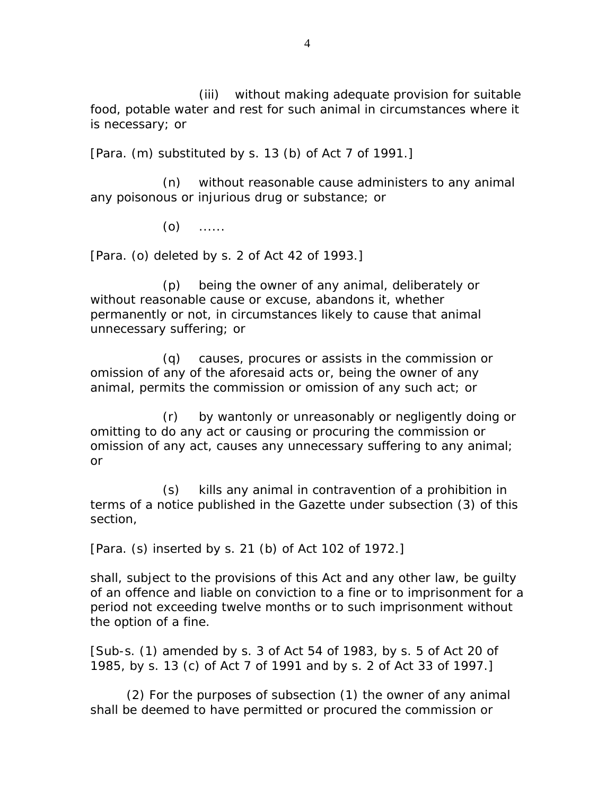(iii) without making adequate provision for suitable food, potable water and rest for such animal in circumstances where it is necessary; or

[Para. (m) substituted by s. 13 (b) of Act 7 of 1991.]

 (n) without reasonable cause administers to any animal any poisonous or injurious drug or substance; or

 $(0)$  ......

[Para. (o) deleted by s. 2 of Act 42 of 1993.]

 (p) being the owner of any animal, deliberately or without reasonable cause or excuse, abandons it, whether permanently or not, in circumstances likely to cause that animal unnecessary suffering; or

 (q) causes, procures or assists in the commission or omission of any of the aforesaid acts or, being the owner of any animal, permits the commission or omission of any such act; or

 (r) by wantonly or unreasonably or negligently doing or omitting to do any act or causing or procuring the commission or omission of any act, causes any unnecessary suffering to any animal; or

 (s) kills any animal in contravention of a prohibition in terms of a notice published in the Gazette under subsection (3) of this section,

[Para. (s) inserted by s. 21 (b) of Act 102 of 1972.]

shall, subject to the provisions of this Act and any other law, be guilty of an offence and liable on conviction to a fine or to imprisonment for a period not exceeding twelve months or to such imprisonment without the option of a fine.

[Sub-s. (1) amended by s. 3 of Act 54 of 1983, by s. 5 of Act 20 of 1985, by s. 13 (c) of Act 7 of 1991 and by s. 2 of Act 33 of 1997.]

 (2) For the purposes of subsection (1) the owner of any animal shall be deemed to have permitted or procured the commission or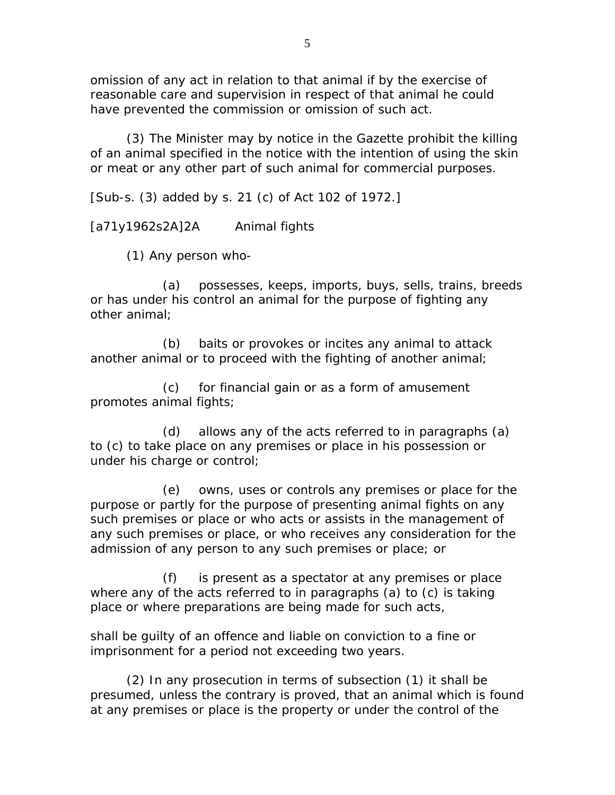omission of any act in relation to that animal if by the exercise of reasonable care and supervision in respect of that animal he could have prevented the commission or omission of such act.

 (3) The Minister may by notice in the Gazette prohibit the killing of an animal specified in the notice with the intention of using the skin or meat or any other part of such animal for commercial purposes.

[Sub-s. (3) added by s. 21 (c) of Act 102 of 1972.]

[a71y1962s2A]2A Animal fights

(1) Any person who-

 (a) possesses, keeps, imports, buys, sells, trains, breeds or has under his control an animal for the purpose of fighting any other animal;

 (b) baits or provokes or incites any animal to attack another animal or to proceed with the fighting of another animal;

 (c) for financial gain or as a form of amusement promotes animal fights;

 (d) allows any of the acts referred to in paragraphs (a) to (c) to take place on any premises or place in his possession or under his charge or control;

 (e) owns, uses or controls any premises or place for the purpose or partly for the purpose of presenting animal fights on any such premises or place or who acts or assists in the management of any such premises or place, or who receives any consideration for the admission of any person to any such premises or place; or

 (f) is present as a spectator at any premises or place where any of the acts referred to in paragraphs (a) to (c) is taking place or where preparations are being made for such acts,

shall be guilty of an offence and liable on conviction to a fine or imprisonment for a period not exceeding two years.

 (2) In any prosecution in terms of subsection (1) it shall be presumed, unless the contrary is proved, that an animal which is found at any premises or place is the property or under the control of the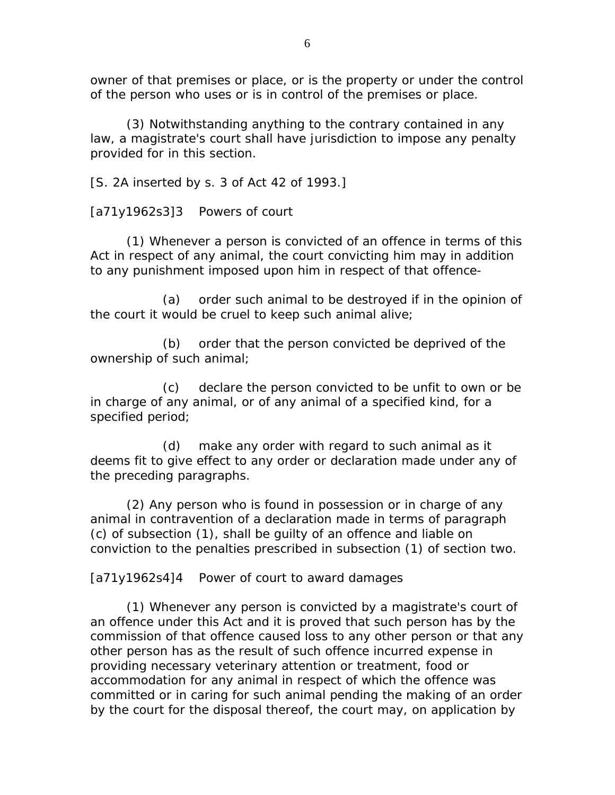owner of that premises or place, or is the property or under the control of the person who uses or is in control of the premises or place.

 (3) Notwithstanding anything to the contrary contained in any law, a magistrate's court shall have jurisdiction to impose any penalty provided for in this section.

[S. 2A inserted by s. 3 of Act 42 of 1993.]

[a71y1962s3]3 Powers of court

 (1) Whenever a person is convicted of an offence in terms of this Act in respect of any animal, the court convicting him may in addition to any punishment imposed upon him in respect of that offence-

 (a) order such animal to be destroyed if in the opinion of the court it would be cruel to keep such animal alive;

 (b) order that the person convicted be deprived of the ownership of such animal;

 (c) declare the person convicted to be unfit to own or be in charge of any animal, or of any animal of a specified kind, for a specified period;

 (d) make any order with regard to such animal as it deems fit to give effect to any order or declaration made under any of the preceding paragraphs.

 (2) Any person who is found in possession or in charge of any animal in contravention of a declaration made in terms of paragraph (c) of subsection (1), shall be guilty of an offence and liable on conviction to the penalties prescribed in subsection (1) of section two.

[a71y1962s4]4 Power of court to award damages

 (1) Whenever any person is convicted by a magistrate's court of an offence under this Act and it is proved that such person has by the commission of that offence caused loss to any other person or that any other person has as the result of such offence incurred expense in providing necessary veterinary attention or treatment, food or accommodation for any animal in respect of which the offence was committed or in caring for such animal pending the making of an order by the court for the disposal thereof, the court may, on application by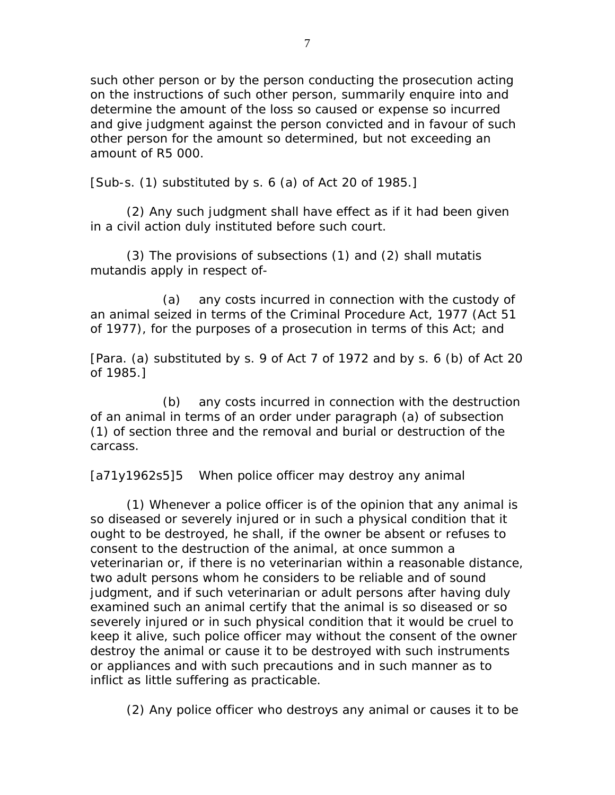such other person or by the person conducting the prosecution acting on the instructions of such other person, summarily enquire into and determine the amount of the loss so caused or expense so incurred and give judgment against the person convicted and in favour of such other person for the amount so determined, but not exceeding an amount of R5 000.

[Sub-s.  $(1)$  substituted by s. 6  $(a)$  of Act 20 of 1985.]

 (2) Any such judgment shall have effect as if it had been given in a civil action duly instituted before such court.

 (3) The provisions of subsections (1) and (2) shall mutatis mutandis apply in respect of-

 (a) any costs incurred in connection with the custody of an animal seized in terms of the Criminal Procedure Act, 1977 (Act 51 of 1977), for the purposes of a prosecution in terms of this Act; and

[Para. (a) substituted by s. 9 of Act 7 of 1972 and by s. 6 (b) of Act 20 of 1985.]

 (b) any costs incurred in connection with the destruction of an animal in terms of an order under paragraph (a) of subsection (1) of section three and the removal and burial or destruction of the carcass.

[a71y1962s5]5 When police officer may destroy any animal

 (1) Whenever a police officer is of the opinion that any animal is so diseased or severely injured or in such a physical condition that it ought to be destroyed, he shall, if the owner be absent or refuses to consent to the destruction of the animal, at once summon a veterinarian or, if there is no veterinarian within a reasonable distance, two adult persons whom he considers to be reliable and of sound judgment, and if such veterinarian or adult persons after having duly examined such an animal certify that the animal is so diseased or so severely injured or in such physical condition that it would be cruel to keep it alive, such police officer may without the consent of the owner destroy the animal or cause it to be destroyed with such instruments or appliances and with such precautions and in such manner as to inflict as little suffering as practicable.

(2) Any police officer who destroys any animal or causes it to be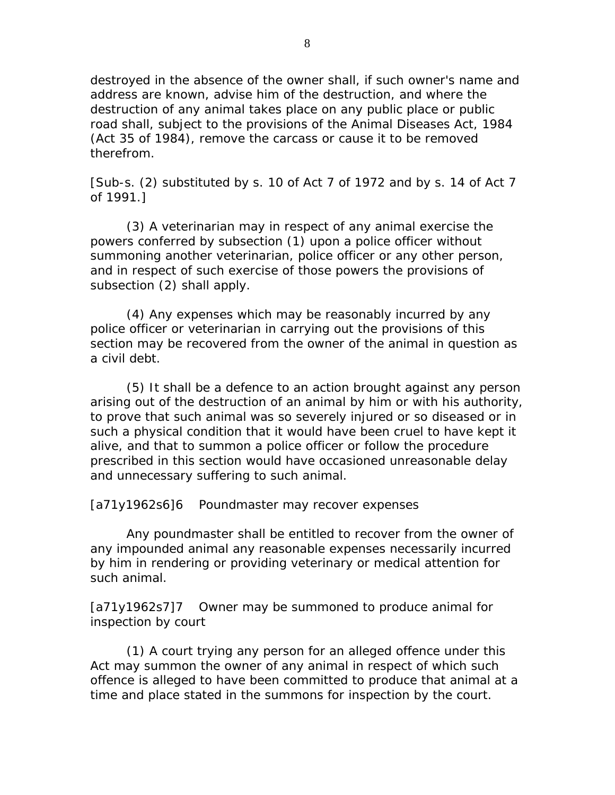destroyed in the absence of the owner shall, if such owner's name and address are known, advise him of the destruction, and where the destruction of any animal takes place on any public place or public road shall, subject to the provisions of the Animal Diseases Act, 1984 (Act 35 of 1984), remove the carcass or cause it to be removed therefrom.

[Sub-s. (2) substituted by s. 10 of Act 7 of 1972 and by s. 14 of Act 7 of 1991.]

 (3) A veterinarian may in respect of any animal exercise the powers conferred by subsection (1) upon a police officer without summoning another veterinarian, police officer or any other person, and in respect of such exercise of those powers the provisions of subsection (2) shall apply.

 (4) Any expenses which may be reasonably incurred by any police officer or veterinarian in carrying out the provisions of this section may be recovered from the owner of the animal in question as a civil debt.

 (5) It shall be a defence to an action brought against any person arising out of the destruction of an animal by him or with his authority, to prove that such animal was so severely injured or so diseased or in such a physical condition that it would have been cruel to have kept it alive, and that to summon a police officer or follow the procedure prescribed in this section would have occasioned unreasonable delay and unnecessary suffering to such animal.

[a71y1962s6]6 Poundmaster may recover expenses

 Any poundmaster shall be entitled to recover from the owner of any impounded animal any reasonable expenses necessarily incurred by him in rendering or providing veterinary or medical attention for such animal.

[a71y1962s7]7 Owner may be summoned to produce animal for inspection by court

 (1) A court trying any person for an alleged offence under this Act may summon the owner of any animal in respect of which such offence is alleged to have been committed to produce that animal at a time and place stated in the summons for inspection by the court.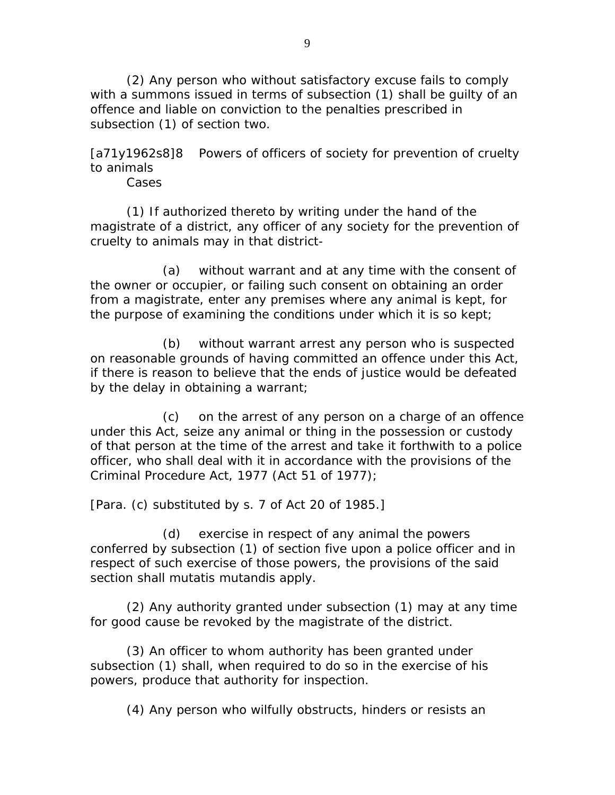(2) Any person who without satisfactory excuse fails to comply with a summons issued in terms of subsection (1) shall be guilty of an offence and liable on conviction to the penalties prescribed in subsection (1) of section two.

[a71y1962s8]8 Powers of officers of society for prevention of cruelty to animals

Cases

 (1) If authorized thereto by writing under the hand of the magistrate of a district, any officer of any society for the prevention of cruelty to animals may in that district-

 (a) without warrant and at any time with the consent of the owner or occupier, or failing such consent on obtaining an order from a magistrate, enter any premises where any animal is kept, for the purpose of examining the conditions under which it is so kept;

 (b) without warrant arrest any person who is suspected on reasonable grounds of having committed an offence under this Act, if there is reason to believe that the ends of justice would be defeated by the delay in obtaining a warrant;

 (c) on the arrest of any person on a charge of an offence under this Act, seize any animal or thing in the possession or custody of that person at the time of the arrest and take it forthwith to a police officer, who shall deal with it in accordance with the provisions of the Criminal Procedure Act, 1977 (Act 51 of 1977);

[Para. (c) substituted by s. 7 of Act 20 of 1985.]

 (d) exercise in respect of any animal the powers conferred by subsection (1) of section five upon a police officer and in respect of such exercise of those powers, the provisions of the said section shall mutatis mutandis apply.

 (2) Any authority granted under subsection (1) may at any time for good cause be revoked by the magistrate of the district.

 (3) An officer to whom authority has been granted under subsection (1) shall, when required to do so in the exercise of his powers, produce that authority for inspection.

(4) Any person who wilfully obstructs, hinders or resists an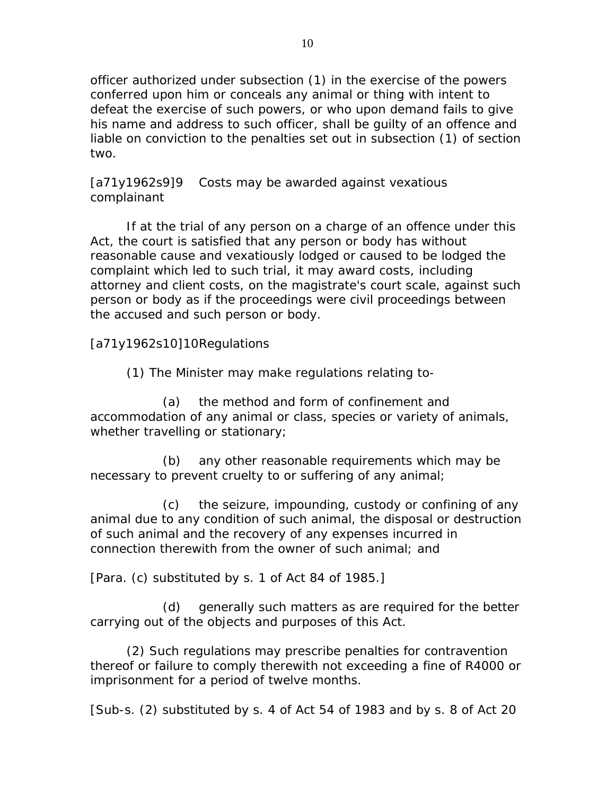officer authorized under subsection (1) in the exercise of the powers conferred upon him or conceals any animal or thing with intent to defeat the exercise of such powers, or who upon demand fails to give his name and address to such officer, shall be guilty of an offence and liable on conviction to the penalties set out in subsection (1) of section two.

[a71y1962s9]9 Costs may be awarded against vexatious complainant

 If at the trial of any person on a charge of an offence under this Act, the court is satisfied that any person or body has without reasonable cause and vexatiously lodged or caused to be lodged the complaint which led to such trial, it may award costs, including attorney and client costs, on the magistrate's court scale, against such person or body as if the proceedings were civil proceedings between the accused and such person or body.

[a71y1962s10]10 Regulations

(1) The Minister may make regulations relating to-

 (a) the method and form of confinement and accommodation of any animal or class, species or variety of animals, whether travelling or stationary;

 (b) any other reasonable requirements which may be necessary to prevent cruelty to or suffering of any animal;

 (c) the seizure, impounding, custody or confining of any animal due to any condition of such animal, the disposal or destruction of such animal and the recovery of any expenses incurred in connection therewith from the owner of such animal; and

[Para. (c) substituted by s. 1 of Act 84 of 1985.]

 (d) generally such matters as are required for the better carrying out of the objects and purposes of this Act.

 (2) Such regulations may prescribe penalties for contravention thereof or failure to comply therewith not exceeding a fine of R4000 or imprisonment for a period of twelve months.

[Sub-s. (2) substituted by s. 4 of Act 54 of 1983 and by s. 8 of Act 20